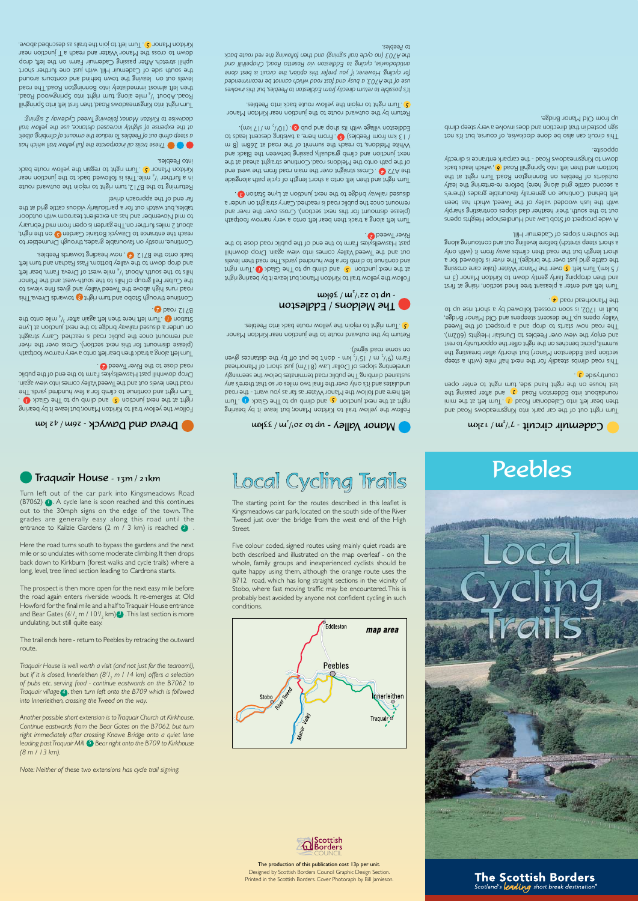### The production of this publication cost 13p per unit. Designed by Scottish Borders Council Graphic Design Section. Printed in the Scottish Borders. Cover Photoraph by Bill Jamieson.





The starting point for the routes described in this leaflet is Kingsmeadows car park, located on the south side of the River Tweed just over the bridge from the west end of the High Street.

# **O** Traquair House - 13m / 21km Local Cycling Trails **Peebles**

## $\mu$   $\mu$   $\epsilon$  /  $\mu^2$  /  $\epsilon$  or  $\epsilon$  and  $\epsilon$  and  $\epsilon$  and  $\epsilon$  and  $\mu$

Five colour coded, signed routes using mainly quiet roads are both described and illustrated on the map overleaf - on the whole, family groups and inexperienced cyclists should be quite happy using them, although the orange route uses the B712 road, which has long straight sections in the vicinity of Stobo, where fast moving traffic may be encountered. This is probably best avoided by anyone not confident cycling in such conditions.

entrance to Kailzie Gardens  $(2 \text{ m } / 3 \text{ km})$  is reached  $(2 \text{ m } / 3 \text{ km })$ Here the road turns south to bypass the gardens and the next mile or so undulates with some moderate climbing. It then drops

Turn left out of the car park into Kingsmeadows Road (B7062) . A cycle lane is soon reached and this continues *1*  out to the 30mph signs on the edge of the town. The



 $\sim$  Dreva and Dawyck - 26m/42 km

Follow the yellow trail to Kirkton Manor, but leave it by bearing right at the next junction **5** and climb up to The Glack **U** Turn right and continue to climb to a few hundred yards. The road then levels out and the Tweed Valley comes into view again. Drop downhill past Haxellsykes Farm to the end of the public road close to the River Tweed 2.

Turn left alools a track then bear left onto a very narrow footpath (please dismount for this next section). Cross over the river and remount once the public road is reached. Carry straight ou nuqet a genzeq taylien da sabid y wiles to the review at  $L$ adt otro alim  $\mu^{15}$  raths nings that nodt and the mull. **U** noitst? **2** bson  $2178$ 

Continue through *D* turn that pure of an and through the story is an interesting through using the continuities to a swaiv and savig bre YallsV baswT and avods ngin sana bao the Culter Fell group of hills to the south-west and the Manor hills to the south. About  $1/4$  mile west of Dreva Farm, bear left and drop down to the valley bottom. Pass Rachan base in the t les. e. back onto the B7112 on word heading towards Peebles.

Continue, mostly an favourable grades, through Drumelzier to reach the entrance to Dawyck Botanic Garden **C** on the right, w chort a miles further on. The garden is open from mid February to mid November and has an excellent tearoom with outdoor tables, but watch out for a particularly vicious cattle grid at the favinb dosorqqs edt to bre hat

Returning to the B712, turn right to rejoin the outward route in a further  $1/$ , mile. This is followed back to the junction near kirkton Manor **C** and might to regain the yellow route back nto Peebles.

grades are generally easy along this road until the

*. Another possible short extension is to Traquair Church at Kirkhouse. Continue eastwards from the Bear Gates on the B7062, but turn right immediately after crossing Knowe Bridge onto a quiet lane leading past Traquair Mill*  $\bullet$  Bear right onto the B709 to Kirkhouse *(8 m / 13 km).* 

back down to Kirkburn (forest walks and cycle trails) where a long, level, tree lined section leading to Cardrona starts.

The prospect is then more open for the next easy mile before the road again enters riverside woods. It re-emerges at Old Howford for the final mile and a half to Traquair House entrance and Bear Gates (6 $\rm V_2$  m / 10 $\rm V_2$  km)  $\rm 3$  .This last section is more undulating, but still quite easy.

The trail ends here - return to Peebles by retracing the outward

route.

*Traquair House is well worth a visit (and not just for the tearoom!), but if it is closed, Innerleithen (81 / <sup>2</sup>m / 14 km) offers a selection of pubs etc. serving food - continue eastwards on the B7062 to Traquair village* (**4**), then turn left onto the B709 which is followed *into Innerleithen, crossing the Tweed on the way.* 

A wide prospect of Stob Law and Hundleshope Heights opens out to the south, their heather clad slopes contrasting sharply with the lush wooded valley of the Tweed, which has been left behind. Continue on generally favourable grabes (there's a second cattle grid along here) before re-entering the leafy outskirts of Peebles on Bonnington Road. Braish and the bottom and then left into Springhill Road (6, noint leads back down to Kingsmeadows Road - the carpark entrance is directly . opposite

This circuit can also be done clockwise, of course, but it's not sign betted in that direction and does involve a very years climb . agbing nonsM blO mont qu

*Note: Neither of these two extensions has cycle trail signing.* 

Follow the yellow trail to Kirkton Manor, but leave it by bearing r and the total junction **8** and climb and the Glack **(1)** runctional respectively left hero and follow the Manor Water as far as you want - the road y an separate the sould so that so that it and the error in the error only ylgnimes ant wolsd zatanimet baor silduq shTgnighy Unrelenting slopes of Dollar Law ( $817m$ ) just to the Manombead Farm  $(9^{1/2}$  m  $/15^{1/2}$  km  $-$  don't be diffunces given on some road signs!).

Return by the outward route to the junction near Kirkton Manor **d** Turn right to rejoin the yellow route back into Peebles.

## The Meldons / Eddleston  $\frac{1}{2}$  μ $\frac{1}{2}$  μ $\frac{2}{2}$  (20 dn -

Follow the yellow trail to Kirkton Manor, but leave it by bearing right  $\frac{1}{2}$  and  $\frac{1}{2}$  and  $\frac{1}{2}$  and  $\frac{1}{2}$  and  $\frac{1}{2}$  and  $\frac{1}{2}$  and  $\frac{1}{2}$  and  $\frac{1}{2}$  and  $\frac{1}{2}$  and  $\frac{1}{2}$  and  $\frac{1}{2}$  and  $\frac{1}{2}$  and  $\frac{1}{2}$  and  $\frac{1}{2}$  and  $\frac{1}{2}$  and  $\frac{1}{2}$  a els continue to climb for a few hundred yard. Jaken hevels out and the Iveed Valley comes into view again. Drop downhill past Haswellsykes Farm to the end of the public road close to the **2** beewThere

Turn left along a track then bear left onto a very narrow footpath (please dismount for this next section). Cross over and but and remount once the public road is reached. Carry straight on under a are to the pulse to the next junction at Lyne Station **(3)** 

Turn right and then left onto a short length of cycle shade abisgore the from the road main the road in the straight stre weat end of the path onto the Meldons road. Continue straigint about the next junction and climb gradually, passing aduated and the Black and White Meldons, to reach the summit of the reach the R m and S conset ot sbsel treoseb gnitsiwt s , ener mon-T. C (seldeen mont make 1)  $\lim_{n \to \infty}$  (m)  $\lim_{n \to \infty}$  (101)  $\lim_{n \to \infty}$  duq bus qods sti dtiw sgalliv notselbb

Return by the outward route to the junction near Kirkton Manor **b.** Turn right to rejoin the yellow route back into Peebles.

**b d** *z has a just all incorporate the full yellow trail which has t bei al , ing imb cl of nt mou <sup>a</sup> the ce du re o T. s le eb eP of ut o imb cl ep ste <sup>a</sup>* at the expense of slightly increased distance, use the yellow trail *ay 2 signing: w weed Cycle T wing ollo f, kton Manor clockwise to Kir* 

llingning2 otni thel trandows Road, then trand fining Springhill  $A$ beo $A$  boowgning? otni thgin rnut gnols  $\sin \frac{1}{2}$  tuodA beog then left almost immediately into going the Appendix of the road. levels out on leaving the rown behind and contours and out of the south side of Cademuir Hill, with just one further short uphill stretch. After passing Cademuir Farm on the left, drop near in each ater whater and reach a T junction near kirkton Manor **J.** Turn left to join the trails as described above.



Turn right out of the car park into Kingsmeadows Road and then bear left into Caledonian Road *(***1** run in the finith into left the mini the passing part into Edderston Road **(2** based view of the story for a story for  $\overline{z}$ last house on the right hand side, turn inght to senod task . yside countr *3* 

geets a divy elim that txen edt not vlibsets admilo baor aidT section past Edderston Manor) but shortly after breasting the summit, picnic benches on the right offer the opportunity to rest and enjoy the view over Peebles to Dunslair Heights (602m). The road more the proport and a prospect of the prospect and the paped Valley opens up. The descent steepens and Old Manor Bridge, built in 1702, is soon crossed, followed by a front right but be the Manorhead *p* been been

Turn left and enter a pleasant tree lined section, noising at first and then dropping gairly serious for whan to Kirkhor (3 m If the care crossing  $\epsilon$  over the Manor Water (take care crossing the cattle grid just over the bridge). The river is followed for a y duo diiw) ii mont y wa sdmilo nent b son shi tud dignal thone a short steep stretch) before leveliling out and contouring along the southern slopes of Cademuir Hill.

*volves in this but , les eeb P to Eddleston from directly n retur to le possib s It' recommended be cannot which road ast f and busy a A703, the of use*  for cycling. However, if you prefer this option, the circuit is best done anticlockwise, cycling to Eddleston via Rosetta Road, Chapelhill and *back route red the wing ollo f then and signing) ail tr cycle (no A703 the . les eeb to P*

## Cademuir circuit - 7<sup>1</sup>/m/ 12km